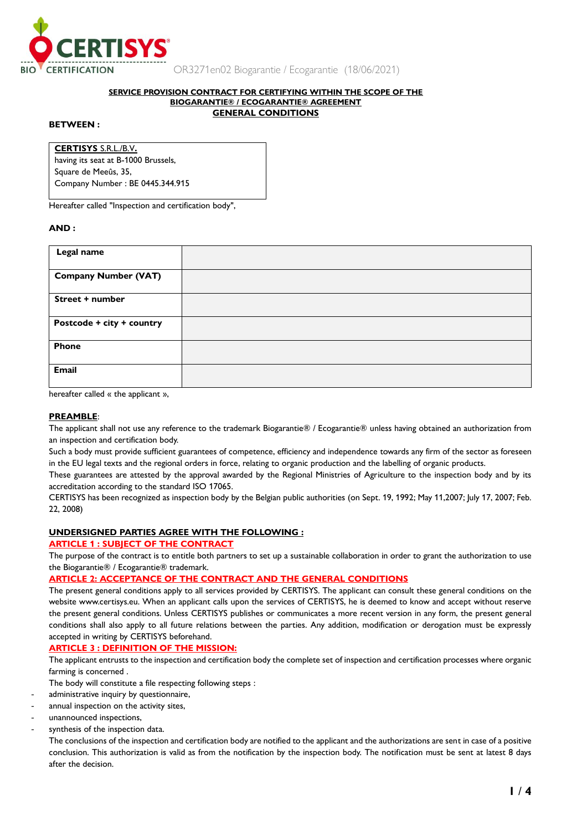

OR3271en02 Biogarantie / Ecogarantie (18/06/2021)

#### **SERVICE PROVISION CONTRACT FOR CERTIFYING WITHIN THE SCOPE OF THE BIOGARANTIE® / ECOGARANTIE® AGREEMENT GENERAL CONDITIONS**

### **BETWEEN :**

**CERTISYS** S.R.L./B.V**.** having its seat at B-1000 Brussels, Square de Meeûs, 35, Company Number : BE 0445.344.915

Hereafter called "Inspection and certification body",

#### **AND :**

| Legal name                  |  |
|-----------------------------|--|
| <b>Company Number (VAT)</b> |  |
| Street + number             |  |
| Postcode + city + country   |  |
| <b>Phone</b>                |  |
| Email                       |  |

hereafter called « the applicant »,

#### **PREAMBLE**:

The applicant shall not use any reference to the trademark Biogarantie® / Ecogarantie® unless having obtained an authorization from an inspection and certification body.

Such a body must provide sufficient guarantees of competence, efficiency and independence towards any firm of the sector as foreseen in the EU legal texts and the regional orders in force, relating to organic production and the labelling of organic products.

These guarantees are attested by the approval awarded by the Regional Ministries of Agriculture to the inspection body and by its accreditation according to the standard ISO 17065.

CERTISYS has been recognized as inspection body by the Belgian public authorities (on Sept. 19, 1992; May 11,2007; July 17, 2007; Feb. 22, 2008)

#### **UNDERSIGNED PARTIES AGREE WITH THE FOLLOWING :**

**ARTICLE 1 : SUBJECT OF THE CONTRACT**

The purpose of the contract is to entitle both partners to set up a sustainable collaboration in order to grant the authorization to use the Biogarantie® / Ecogarantie® trademark.

**ARTICLE 2: ACCEPTANCE OF THE CONTRACT AND THE GENERAL CONDITIONS**

The present general conditions apply to all services provided by CERTISYS. The applicant can consult these general conditions on the website www.certisys.eu. When an applicant calls upon the services of CERTISYS, he is deemed to know and accept without reserve the present general conditions. Unless CERTISYS publishes or communicates a more recent version in any form, the present general conditions shall also apply to all future relations between the parties. Any addition, modification or derogation must be expressly accepted in writing by CERTISYS beforehand.

#### **ARTICLE 3 : DEFINITION OF THE MISSION:**

The applicant entrusts to the inspection and certification body the complete set of inspection and certification processes where organic farming is concerned .

The body will constitute a file respecting following steps :

- administrative inquiry by questionnaire,
- annual inspection on the activity sites,
- unannounced inspections,
- synthesis of the inspection data.

The conclusions of the inspection and certification body are notified to the applicant and the authorizations are sent in case of a positive conclusion. This authorization is valid as from the notification by the inspection body. The notification must be sent at latest 8 days after the decision.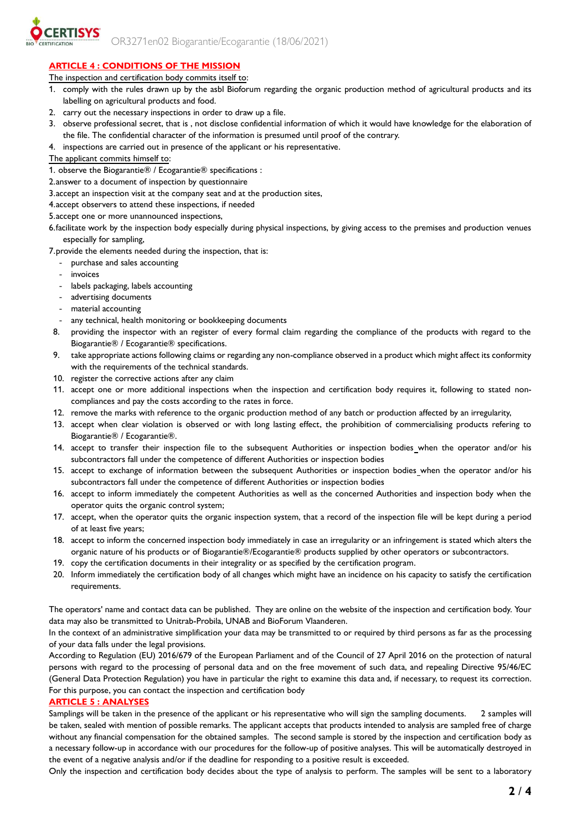

## **ARTICLE 4 : CONDITIONS OF THE MISSION**

The inspection and certification body commits itself to:

- 1. comply with the rules drawn up by the asbl Bioforum regarding the organic production method of agricultural products and its labelling on agricultural products and food.
- 2. carry out the necessary inspections in order to draw up a file.
- 3. observe professional secret, that is , not disclose confidential information of which it would have knowledge for the elaboration of the file. The confidential character of the information is presumed until proof of the contrary.
- 4. inspections are carried out in presence of the applicant or his representative.

## The applicant commits himself to:

1. observe the Biogarantie® / Ecogarantie® specifications :

2.answer to a document of inspection by questionnaire

- 3.accept an inspection visit at the company seat and at the production sites,
- 4.accept observers to attend these inspections, if needed

5.accept one or more unannounced inspections,

6.facilitate work by the inspection body especially during physical inspections, by giving access to the premises and production venues especially for sampling,

7.provide the elements needed during the inspection, that is:

- purchase and sales accounting
- invoices
- labels packaging, labels accounting
- advertising documents
- material accounting
- any technical, health monitoring or bookkeeping documents
- 8. providing the inspector with an register of every formal claim regarding the compliance of the products with regard to the Biogarantie® / Ecogarantie® specifications.
- 9. take appropriate actions following claims or regarding any non-compliance observed in a product which might affect its conformity with the requirements of the technical standards.
- 10. register the corrective actions after any claim
- 11. accept one or more additional inspections when the inspection and certification body requires it, following to stated noncompliances and pay the costs according to the rates in force.
- 12. remove the marks with reference to the organic production method of any batch or production affected by an irregularity,
- 13. accept when clear violation is observed or with long lasting effect, the prohibition of commercialising products refering to Biogarantie® / Ecogarantie®.
- 14. accept to transfer their inspection file to the subsequent Authorities or inspection bodies when the operator and/or his subcontractors fall under the competence of different Authorities or inspection bodies
- 15. accept to exchange of information between the subsequent Authorities or inspection bodies when the operator and/or his subcontractors fall under the competence of different Authorities or inspection bodies
- 16. accept to inform immediately the competent Authorities as well as the concerned Authorities and inspection body when the operator quits the organic control system;
- 17. accept, when the operator quits the organic inspection system, that a record of the inspection file will be kept during a period of at least five years;
- 18. accept to inform the concerned inspection body immediately in case an irregularity or an infringement is stated which alters the organic nature of his products or of Biogarantie®/Ecogarantie® products supplied by other operators or subcontractors.
- 19. copy the certification documents in their integrality or as specified by the certification program.
- 20. Inform immediately the certification body of all changes which might have an incidence on his capacity to satisfy the certification requirements.

The operators' name and contact data can be published. They are online on the website of the inspection and certification body. Your data may also be transmitted to Unitrab-Probila, UNAB and BioForum Vlaanderen.

In the context of an administrative simplification your data may be transmitted to or required by third persons as far as the processing of your data falls under the legal provisions.

According to Regulation (EU) 2016/679 of the European Parliament and of the Council of 27 April 2016 on the protection of natural persons with regard to the processing of personal data and on the free movement of such data, and repealing Directive 95/46/EC (General Data Protection Regulation) you have in particular the right to examine this data and, if necessary, to request its correction. For this purpose, you can contact the inspection and certification body

#### **ARTICLE 5 : ANALYSES**

Samplings will be taken in the presence of the applicant or his representative who will sign the sampling documents. 2 samples will be taken, sealed with mention of possible remarks. The applicant accepts that products intended to analysis are sampled free of charge without any financial compensation for the obtained samples. The second sample is stored by the inspection and certification body as a necessary follow-up in accordance with our procedures for the follow-up of positive analyses. This will be automatically destroyed in the event of a negative analysis and/or if the deadline for responding to a positive result is exceeded.

Only the inspection and certification body decides about the type of analysis to perform. The samples will be sent to a laboratory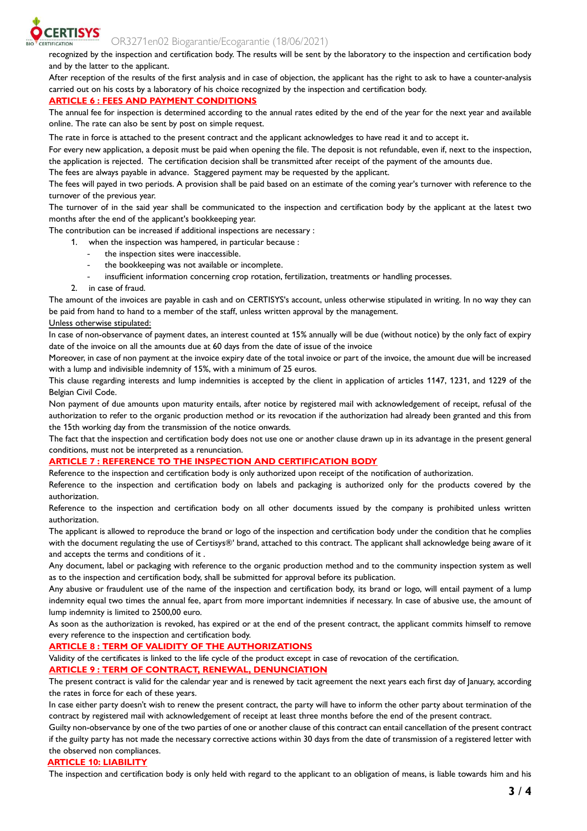

recognized by the inspection and certification body. The results will be sent by the laboratory to the inspection and certification body and by the latter to the applicant.

After reception of the results of the first analysis and in case of objection, the applicant has the right to ask to have a counter-analysis carried out on his costs by a laboratory of his choice recognized by the inspection and certification body.

#### **ARTICLE 6 : FEES AND PAYMENT CONDITIONS**

The annual fee for inspection is determined according to the annual rates edited by the end of the year for the next year and available online. The rate can also be sent by post on simple request.

The rate in force is attached to the present contract and the applicant acknowledges to have read it and to accept it.

For every new application, a deposit must be paid when opening the file. The deposit is not refundable, even if, next to the inspection, the application is rejected. The certification decision shall be transmitted after receipt of the payment of the amounts due.

The fees are always payable in advance. Staggered payment may be requested by the applicant.

The fees will payed in two periods. A provision shall be paid based on an estimate of the coming year's turnover with reference to the turnover of the previous year.

The turnover of in the said year shall be communicated to the inspection and certification body by the applicant at the latest two months after the end of the applicant's bookkeeping year.

The contribution can be increased if additional inspections are necessary :

1. when the inspection was hampered, in particular because :

- the inspection sites were inaccessible.
- the bookkeeping was not available or incomplete.
- insufficient information concerning crop rotation, fertilization, treatments or handling processes.
- 2. in case of fraud.

The amount of the invoices are payable in cash and on CERTISYS's account, unless otherwise stipulated in writing. In no way they can be paid from hand to hand to a member of the staff, unless written approval by the management.

#### Unless otherwise stipulated:

In case of non-observance of payment dates, an interest counted at 15% annually will be due (without notice) by the only fact of expiry date of the invoice on all the amounts due at 60 days from the date of issue of the invoice

Moreover, in case of non payment at the invoice expiry date of the total invoice or part of the invoice, the amount due will be increased with a lump and indivisible indemnity of 15%, with a minimum of 25 euros.

This clause regarding interests and lump indemnities is accepted by the client in application of articles 1147, 1231, and 1229 of the Belgian Civil Code.

Non payment of due amounts upon maturity entails, after notice by registered mail with acknowledgement of receipt, refusal of the authorization to refer to the organic production method or its revocation if the authorization had already been granted and this from the 15th working day from the transmission of the notice onwards.

The fact that the inspection and certification body does not use one or another clause drawn up in its advantage in the present general conditions, must not be interpreted as a renunciation.

#### **ARTICLE 7 : REFERENCE TO THE INSPECTION AND CERTIFICATION BODY**

Reference to the inspection and certification body is only authorized upon receipt of the notification of authorization.

Reference to the inspection and certification body on labels and packaging is authorized only for the products covered by the authorization.

Reference to the inspection and certification body on all other documents issued by the company is prohibited unless written authorization.

The applicant is allowed to reproduce the brand or logo of the inspection and certification body under the condition that he complies with the document regulating the use of Certisys®' brand, attached to this contract. The applicant shall acknowledge being aware of it and accepts the terms and conditions of it .

Any document, label or packaging with reference to the organic production method and to the community inspection system as well as to the inspection and certification body, shall be submitted for approval before its publication.

Any abusive or fraudulent use of the name of the inspection and certification body, its brand or logo, will entail payment of a lump indemnity equal two times the annual fee, apart from more important indemnities if necessary. In case of abusive use, the amount of lump indemnity is limited to 2500,00 euro.

As soon as the authorization is revoked, has expired or at the end of the present contract, the applicant commits himself to remove every reference to the inspection and certification body.

#### **ARTICLE 8 : TERM OF VALIDITY OF THE AUTHORIZATIONS**

Validity of the certificates is linked to the life cycle of the product except in case of revocation of the certification.

#### **ARTICLE 9 : TERM OF CONTRACT, RENEWAL, DENUNCIATION**

The present contract is valid for the calendar year and is renewed by tacit agreement the next years each first day of January, according the rates in force for each of these years.

In case either party doesn't wish to renew the present contract, the party will have to inform the other party about termination of the contract by registered mail with acknowledgement of receipt at least three months before the end of the present contract.

Guilty non-observance by one of the two parties of one or another clause of this contract can entail cancellation of the present contract if the guilty party has not made the necessary corrective actions within 30 days from the date of transmission of a registered letter with the observed non compliances.

#### **ARTICLE 10: LIABILITY**

The inspection and certification body is only held with regard to the applicant to an obligation of means, is liable towards him and his